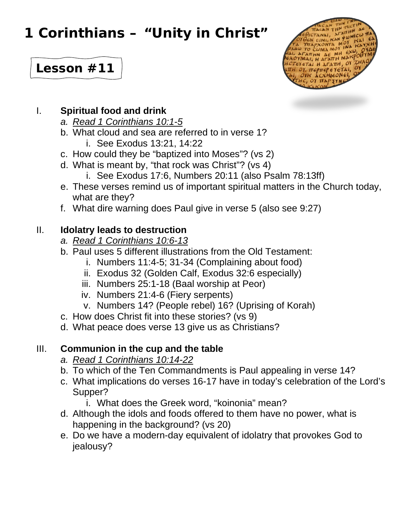# **1 Corinthians – "Unity in Christ"**



# **Lesson #11**

#### I. **Spiritual food and drink**

- *a. Read 1 Corinthians 10:1-5*
- b. What cloud and sea are referred to in verse 1?
	- i. See Exodus 13:21, 14:22
- c. How could they be "baptized into Moses"? (vs 2)
- d. What is meant by, "that rock was Christ"? (vs 4)
	- i. See Exodus 17:6, Numbers 20:11 (also Psalm 78:13ff)
- e. These verses remind us of important spiritual matters in the Church today, what are they?
- f. What dire warning does Paul give in verse 5 (also see 9:27)

### II. **Idolatry leads to destruction**

- *a. Read 1 Corinthians 10:6-13*
- b. Paul uses 5 different illustrations from the Old Testament:
	- i. Numbers 11:4-5; 31-34 (Complaining about food)
	- ii. Exodus 32 (Golden Calf, Exodus 32:6 especially)
	- iii. Numbers 25:1-18 (Baal worship at Peor)
	- iv. Numbers 21:4-6 (Fiery serpents)
	- v. Numbers 14? (People rebel) 16? (Uprising of Korah)
- c. How does Christ fit into these stories? (vs 9)
- d. What peace does verse 13 give us as Christians?

#### III. **Communion in the cup and the table**

- *a. Read 1 Corinthians 10:14-22*
- b. To which of the Ten Commandments is Paul appealing in verse 14?
- c. What implications do verses 16-17 have in today's celebration of the Lord's Supper?
	- i. What does the Greek word, "koinonia" mean?
- d. Although the idols and foods offered to them have no power, what is happening in the background? (vs 20)
- e. Do we have a modern-day equivalent of idolatry that provokes God to jealousy?